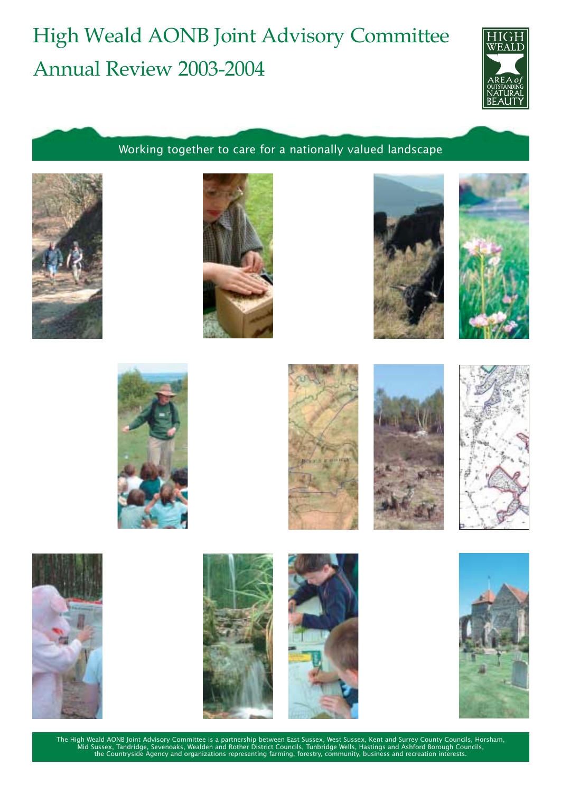# High Weald AONB Joint Advisory Committee Annual Review 2003-2004



Working together to care for a nationally valued landscape

























The High Weald AONB Joint Advisory Committee is a partnership between East Sussex, West Sussex, Kent and Surrey County Councils, Horsham,<br>Mid Sussex, Tandridge, Sevenoaks, Wealden and Rother District Councils, Tunbridge We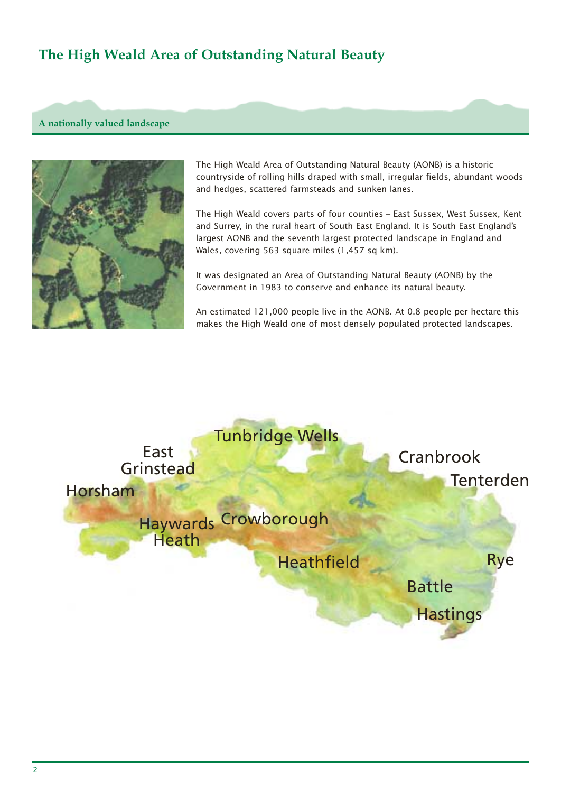## **The High Weald Area of Outstanding Natural Beauty**

#### **A nationally valued landscape**



The High Weald Area of Outstanding Natural Beauty (AONB) is a historic countryside of rolling hills draped with small, irregular fields, abundant woods and hedges, scattered farmsteads and sunken lanes.

The High Weald covers parts of four counties – East Sussex, West Sussex, Kent and Surrey, in the rural heart of South East England. It is South East England's largest AONB and the seventh largest protected landscape in England and Wales, covering 563 square miles (1,457 sq km).

It was designated an Area of Outstanding Natural Beauty (AONB) by the Government in 1983 to conserve and enhance its natural beauty.

An estimated 121,000 people live in the AONB. At 0.8 people per hectare this makes the High Weald one of most densely populated protected landscapes.

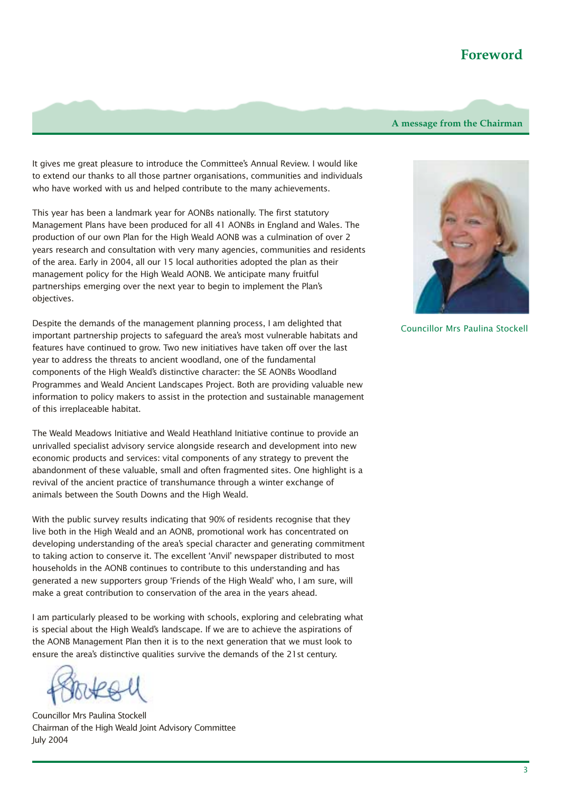### **Foreword**

#### **A message from the Chairman**

It gives me great pleasure to introduce the Committee's Annual Review. I would like to extend our thanks to all those partner organisations, communities and individuals who have worked with us and helped contribute to the many achievements.

This year has been a landmark year for AONBs nationally. The first statutory Management Plans have been produced for all 41 AONBs in England and Wales. The production of our own Plan for the High Weald AONB was a culmination of over 2 years research and consultation with very many agencies, communities and residents of the area. Early in 2004, all our 15 local authorities adopted the plan as their management policy for the High Weald AONB. We anticipate many fruitful partnerships emerging over the next year to begin to implement the Plan's objectives.

Despite the demands of the management planning process, I am delighted that important partnership projects to safeguard the area's most vulnerable habitats and features have continued to grow. Two new initiatives have taken off over the last year to address the threats to ancient woodland, one of the fundamental components of the High Weald's distinctive character: the SE AONBs Woodland Programmes and Weald Ancient Landscapes Project. Both are providing valuable new information to policy makers to assist in the protection and sustainable management of this irreplaceable habitat.

The Weald Meadows Initiative and Weald Heathland Initiative continue to provide an unrivalled specialist advisory service alongside research and development into new economic products and services: vital components of any strategy to prevent the abandonment of these valuable, small and often fragmented sites. One highlight is a revival of the ancient practice of transhumance through a winter exchange of animals between the South Downs and the High Weald.

With the public survey results indicating that 90% of residents recognise that they live both in the High Weald and an AONB, promotional work has concentrated on developing understanding of the area's special character and generating commitment to taking action to conserve it. The excellent 'Anvil' newspaper distributed to most households in the AONB continues to contribute to this understanding and has generated a new supporters group 'Friends of the High Weald' who, I am sure, will make a great contribution to conservation of the area in the years ahead.

I am particularly pleased to be working with schools, exploring and celebrating what is special about the High Weald's landscape. If we are to achieve the aspirations of the AONB Management Plan then it is to the next generation that we must look to ensure the area's distinctive qualities survive the demands of the 21st century.

Councillor Mrs Paulina Stockell Chairman of the High Weald Joint Advisory Committee July 2004



Councillor Mrs Paulina Stockell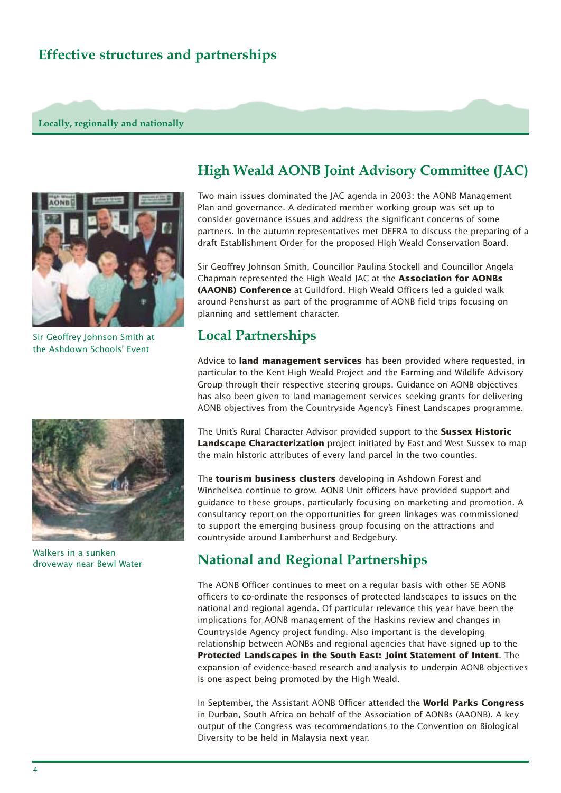### **Effective structures and partnerships**

#### **Locally, regionally and nationally**



Sir Geoffrey Johnson Smith at the Ashdown Schools' Event



Walkers in a sunken droveway near Bewl Water

### **High Weald AONB Joint Advisory Committee (JAC)**

Two main issues dominated the JAC agenda in 2003: the AONB Management Plan and governance. A dedicated member working group was set up to consider governance issues and address the significant concerns of some partners. In the autumn representatives met DEFRA to discuss the preparing of a draft Establishment Order for the proposed High Weald Conservation Board.

Sir Geoffrey Johnson Smith, Councillor Paulina Stockell and Councillor Angela Chapman represented the High Weald JAC at the **Association for AONBs (AAONB) Conference** at Guildford. High Weald Officers led a guided walk around Penshurst as part of the programme of AONB field trips focusing on planning and settlement character.

### **Local Partnerships**

Advice to **land management services** has been provided where requested, in particular to the Kent High Weald Project and the Farming and Wildlife Advisory Group through their respective steering groups. Guidance on AONB objectives has also been given to land management services seeking grants for delivering AONB objectives from the Countryside Agency's Finest Landscapes programme.

The Unit's Rural Character Advisor provided support to the **Sussex Historic Landscape Characterization** project initiated by East and West Sussex to map the main historic attributes of every land parcel in the two counties.

The **tourism business clusters** developing in Ashdown Forest and Winchelsea continue to grow. AONB Unit officers have provided support and guidance to these groups, particularly focusing on marketing and promotion. A consultancy report on the opportunities for green linkages was commissioned to support the emerging business group focusing on the attractions and countryside around Lamberhurst and Bedgebury.

## **National and Regional Partnerships**

The AONB Officer continues to meet on a regular basis with other SE AONB officers to co-ordinate the responses of protected landscapes to issues on the national and regional agenda. Of particular relevance this year have been the implications for AONB management of the Haskins review and changes in Countryside Agency project funding. Also important is the developing relationship between AONBs and regional agencies that have signed up to the **Protected Landscapes in the South East: Joint Statement of Intent**. The expansion of evidence-based research and analysis to underpin AONB objectives is one aspect being promoted by the High Weald.

In September, the Assistant AONB Officer attended the **World Parks Congress** in Durban, South Africa on behalf of the Association of AONBs (AAONB). A key output of the Congress was recommendations to the Convention on Biological Diversity to be held in Malaysia next year.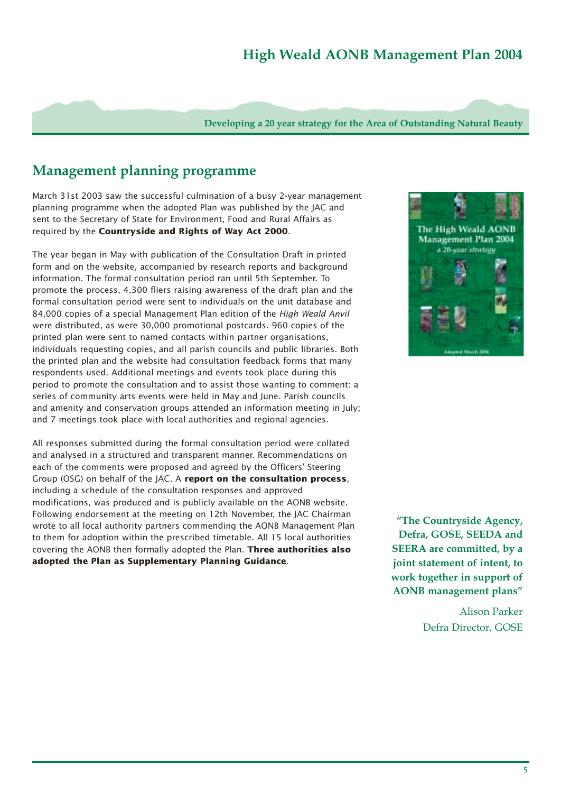### **High Weald AONB Management Plan 2004**

**Developing a 20 year strategy for the Area of Outstanding Natural Beauty**

### **Management planning programme**

March 31st 2003 saw the successful culmination of a busy 2-year management planning programme when the adopted Plan was published by the JAC and sent to the Secretary of State for Environment, Food and Rural Affairs as required by the **Countryside and Rights of Way Act 2000**.

The year began in May with publication of the Consultation Draft in printed form and on the website, accompanied by research reports and background information. The formal consultation period ran until 5th September. To promote the process, 4,300 fliers raising awareness of the draft plan and the formal consultation period were sent to individuals on the unit database and 84,000 copies of a special Management Plan edition of the *High Weald Anvil* were distributed, as were 30,000 promotional postcards. 960 copies of the printed plan were sent to named contacts within partner organisations, individuals requesting copies, and all parish councils and public libraries. Both the printed plan and the website had consultation feedback forms that many respondents used. Additional meetings and events took place during this period to promote the consultation and to assist those wanting to comment: a series of community arts events were held in May and June. Parish councils and amenity and conservation groups attended an information meeting in July; and 7 meetings took place with local authorities and regional agencies.

All responses submitted during the formal consultation period were collated and analysed in a structured and transparent manner. Recommendations on each of the comments were proposed and agreed by the Officers' Steering Group (OSG) on behalf of the JAC. A **report on the consultation process**, including a schedule of the consultation responses and approved modifications, was produced and is publicly available on the AONB website. Following endorsement at the meeting on 12th November, the JAC Chairman wrote to all local authority partners commending the AONB Management Plan to them for adoption within the prescribed timetable. All 15 local authorities covering the AONB then formally adopted the Plan. **Three authorities also adopted the Plan as Supplementary Planning Guidance**.



**"The Countryside Agency, Defra, GOSE, SEEDA and SEERA are committed, by a joint statement of intent, to work together in support of AONB management plans"**

> Alison Parker Defra Director, GOSE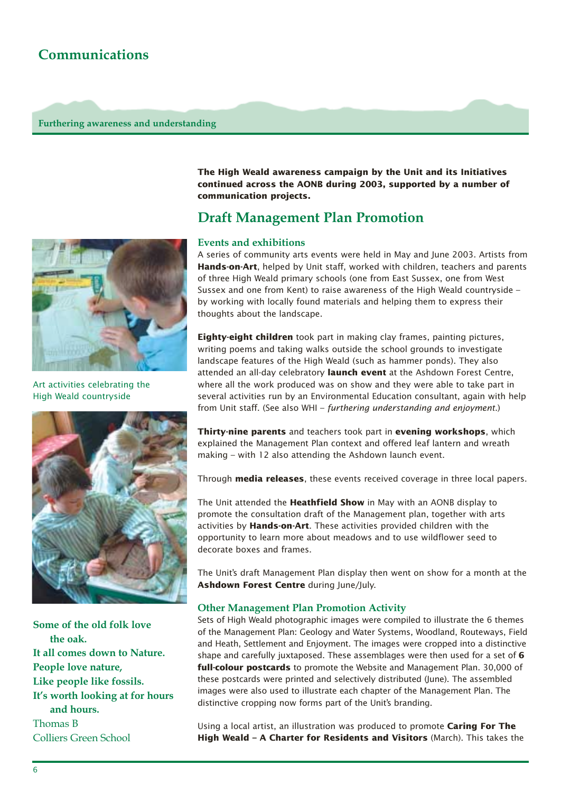### **Communications**

#### **Furthering awareness and understanding**



Art activities celebrating the High Weald countryside



**Some of the old folk love the oak. It all comes down to Nature. People love nature, Like people like fossils. It's worth looking at for hours and hours.** Thomas B Colliers Green School

**The High Weald awareness campaign by the Unit and its Initiatives continued across the AONB during 2003, supported by a number of communication projects.**

### **Draft Management Plan Promotion**

#### **Events and exhibitions**

A series of community arts events were held in May and June 2003. Artists from **Hands-on-Art**, helped by Unit staff, worked with children, teachers and parents of three High Weald primary schools (one from East Sussex, one from West Sussex and one from Kent) to raise awareness of the High Weald countryside – by working with locally found materials and helping them to express their thoughts about the landscape.

**Eighty-eight children** took part in making clay frames, painting pictures, writing poems and taking walks outside the school grounds to investigate landscape features of the High Weald (such as hammer ponds). They also attended an all-day celebratory **launch event** at the Ashdown Forest Centre, where all the work produced was on show and they were able to take part in several activities run by an Environmental Education consultant, again with help from Unit staff. (See also WHI – *furthering understanding and enjoyment*.)

**Thirty-nine parents** and teachers took part in **evening workshops**, which explained the Management Plan context and offered leaf lantern and wreath making – with 12 also attending the Ashdown launch event.

Through **media releases**, these events received coverage in three local papers.

The Unit attended the **Heathfield Show** in May with an AONB display to promote the consultation draft of the Management plan, together with arts activities by **Hands-on-Art**. These activities provided children with the opportunity to learn more about meadows and to use wildflower seed to decorate boxes and frames.

The Unit's draft Management Plan display then went on show for a month at the **Ashdown Forest Centre** during June/July.

#### **Other Management Plan Promotion Activity**

Sets of High Weald photographic images were compiled to illustrate the 6 themes of the Management Plan: Geology and Water Systems, Woodland, Routeways, Field and Heath, Settlement and Enjoyment. The images were cropped into a distinctive shape and carefully juxtaposed. These assemblages were then used for a set of **6 full-colour postcards** to promote the Website and Management Plan. 30,000 of these postcards were printed and selectively distributed (June). The assembled images were also used to illustrate each chapter of the Management Plan. The distinctive cropping now forms part of the Unit's branding.

Using a local artist, an illustration was produced to promote **Caring For The High Weald – A Charter for Residents and Visitors** (March). This takes the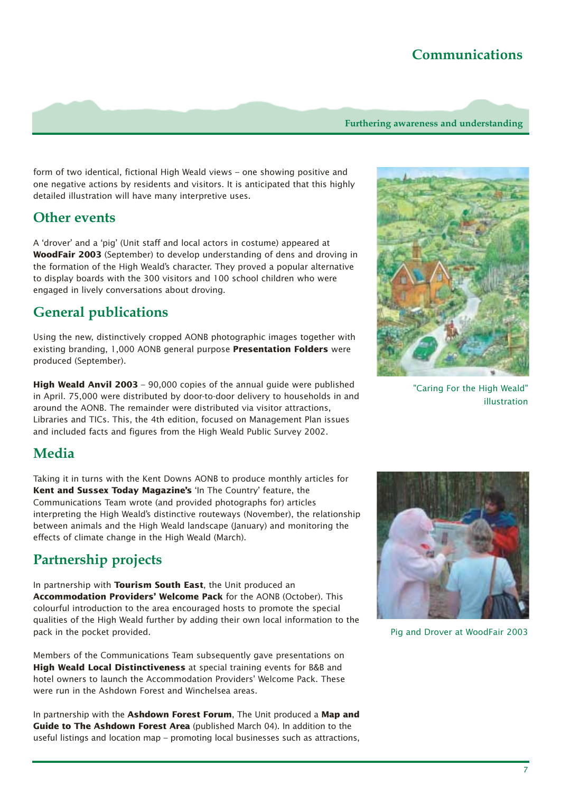### **Communications**

**Furthering awareness and understanding** 

form of two identical, fictional High Weald views – one showing positive and one negative actions by residents and visitors. It is anticipated that this highly detailed illustration will have many interpretive uses.

### **Other events**

A 'drover' and a 'pig' (Unit staff and local actors in costume) appeared at **WoodFair 2003** (September) to develop understanding of dens and droving in the formation of the High Weald's character. They proved a popular alternative to display boards with the 300 visitors and 100 school children who were engaged in lively conversations about droving.

### **General publications**

Using the new, distinctively cropped AONB photographic images together with existing branding, 1,000 AONB general purpose **Presentation Folders** were produced (September).

**High Weald Anvil 2003** – 90,000 copies of the annual guide were published in April. 75,000 were distributed by door-to-door delivery to households in and around the AONB. The remainder were distributed via visitor attractions, Libraries and TICs. This, the 4th edition, focused on Management Plan issues and included facts and figures from the High Weald Public Survey 2002.

"Caring For the High Weald" illustration

### **Media**

Taking it in turns with the Kent Downs AONB to produce monthly articles for **Kent and Sussex Today Magazine's** 'In The Country' feature, the Communications Team wrote (and provided photographs for) articles interpreting the High Weald's distinctive routeways (November), the relationship between animals and the High Weald landscape (January) and monitoring the effects of climate change in the High Weald (March).

### **Partnership projects**

In partnership with **Tourism South East**, the Unit produced an **Accommodation Providers' Welcome Pack** for the AONB (October). This colourful introduction to the area encouraged hosts to promote the special qualities of the High Weald further by adding their own local information to the pack in the pocket provided.

Members of the Communications Team subsequently gave presentations on **High Weald Local Distinctiveness** at special training events for B&B and hotel owners to launch the Accommodation Providers' Welcome Pack. These were run in the Ashdown Forest and Winchelsea areas.

In partnership with the **Ashdown Forest Forum**, The Unit produced a **Map and Guide to The Ashdown Forest Area** (published March 04). In addition to the useful listings and location map – promoting local businesses such as attractions,



Pig and Drover at WoodFair 2003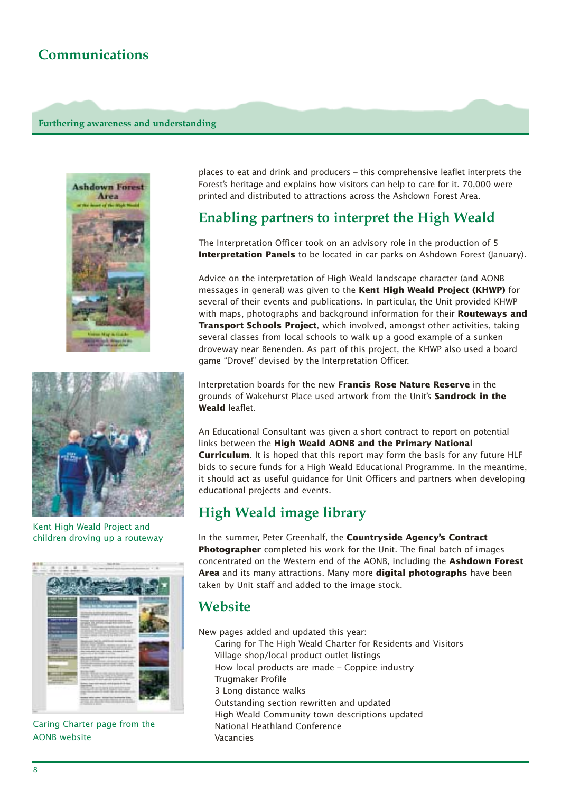### **Communications**

#### **Furthering awareness and understanding**





Kent High Weald Project and children droving up a routeway



Caring Charter page from the AONB website

places to eat and drink and producers – this comprehensive leaflet interprets the Forest's heritage and explains how visitors can help to care for it. 70,000 were printed and distributed to attractions across the Ashdown Forest Area.

### **Enabling partners to interpret the High Weald**

The Interpretation Officer took on an advisory role in the production of 5 **Interpretation Panels** to be located in car parks on Ashdown Forest (January).

Advice on the interpretation of High Weald landscape character (and AONB messages in general) was given to the **Kent High Weald Project (KHWP)** for several of their events and publications. In particular, the Unit provided KHWP with maps, photographs and background information for their **Routeways and Transport Schools Project**, which involved, amongst other activities, taking several classes from local schools to walk up a good example of a sunken droveway near Benenden. As part of this project, the KHWP also used a board game "Drove!" devised by the Interpretation Officer.

Interpretation boards for the new **Francis Rose Nature Reserve** in the grounds of Wakehurst Place used artwork from the Unit's **Sandrock in the Weald** leaflet.

An Educational Consultant was given a short contract to report on potential links between the **High Weald AONB and the Primary National Curriculum**. It is hoped that this report may form the basis for any future HLF bids to secure funds for a High Weald Educational Programme. In the meantime, it should act as useful guidance for Unit Officers and partners when developing educational projects and events.

### **High Weald image library**

In the summer, Peter Greenhalf, the **Countryside Agency's Contract Photographer** completed his work for the Unit. The final batch of images concentrated on the Western end of the AONB, including the **Ashdown Forest Area** and its many attractions. Many more **digital photographs** have been taken by Unit staff and added to the image stock.

### **Website**

New pages added and updated this year: Caring for The High Weald Charter for Residents and Visitors Village shop/local product outlet listings How local products are made – Coppice industry Trugmaker Profile 3 Long distance walks Outstanding section rewritten and updated High Weald Community town descriptions updated National Heathland Conference Vacancies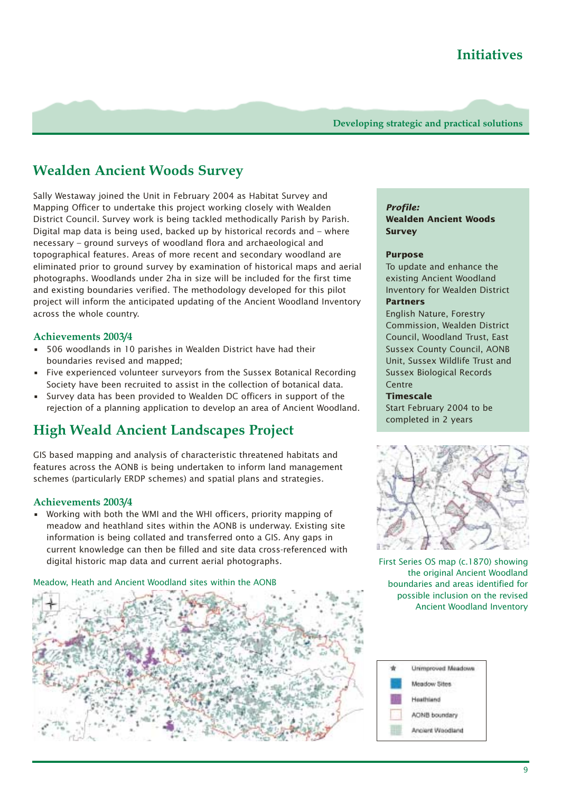### **Wealden Ancient Woods Survey**

Sally Westaway joined the Unit in February 2004 as Habitat Survey and Mapping Officer to undertake this project working closely with Wealden District Council. Survey work is being tackled methodically Parish by Parish. Digital map data is being used, backed up by historical records and – where necessary – ground surveys of woodland flora and archaeological and topographical features. Areas of more recent and secondary woodland are eliminated prior to ground survey by examination of historical maps and aerial photographs. Woodlands under 2ha in size will be included for the first time and existing boundaries verified. The methodology developed for this pilot project will inform the anticipated updating of the Ancient Woodland Inventory across the whole country.

#### **Achievements 2003/4**

- 506 woodlands in 10 parishes in Wealden District have had their boundaries revised and mapped;
- Five experienced volunteer surveyors from the Sussex Botanical Recording Society have been recruited to assist in the collection of botanical data.
- Survey data has been provided to Wealden DC officers in support of the rejection of a planning application to develop an area of Ancient Woodland.

## **High Weald Ancient Landscapes Project**

GIS based mapping and analysis of characteristic threatened habitats and features across the AONB is being undertaken to inform land management schemes (particularly ERDP schemes) and spatial plans and strategies.

#### **Achievements 2003/4**

• Working with both the WMI and the WHI officers, priority mapping of meadow and heathland sites within the AONB is underway. Existing site information is being collated and transferred onto a GIS. Any gaps in current knowledge can then be filled and site data cross-referenced with digital historic map data and current aerial photographs.

#### Meadow, Heath and Ancient Woodland sites within the AONB



### *Profile:*

**Wealden Ancient Woods Survey** 

#### **Purpose**

To update and enhance the existing Ancient Woodland Inventory for Wealden District

#### **Partners**

English Nature, Forestry Commission, Wealden District Council, Woodland Trust, East Sussex County Council, AONB Unit, Sussex Wildlife Trust and Sussex Biological Records Centre

#### **Timescale**

Start February 2004 to be completed in 2 years



First Series OS map (c.1870) showing the original Ancient Woodland boundaries and areas identified for possible inclusion on the revised Ancient Woodland Inventory

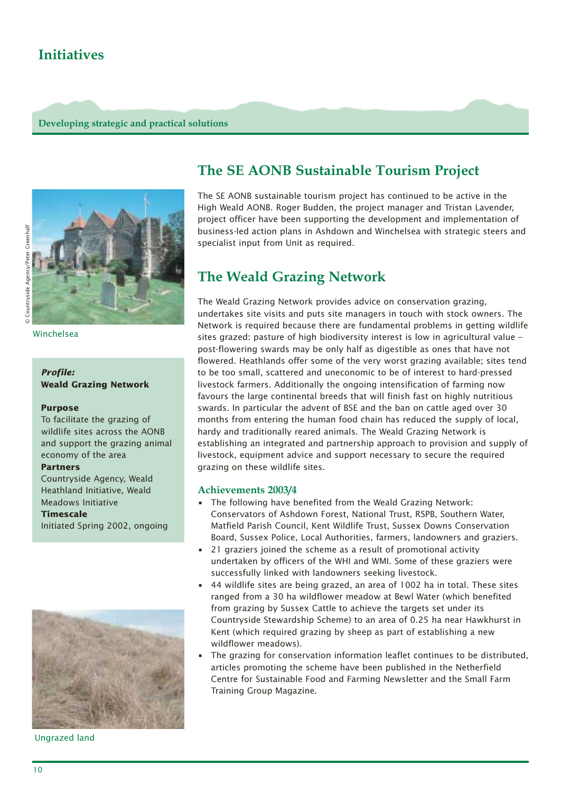### **Initiatives**

**Developing strategic and practical solutions** 



Winchelsea

#### *Profile:* **Weald Grazing Network**

#### **Purpose**

To facilitate the grazing of wildlife sites across the AONB and support the grazing animal economy of the area

#### **Partners**

Countryside Agency, Weald Heathland Initiative, Weald Meadows Initiative

#### **Timescale**

Initiated Spring 2002, ongoing



Ungrazed land

### **The SE AONB Sustainable Tourism Project**

The SE AONB sustainable tourism project has continued to be active in the High Weald AONB. Roger Budden, the project manager and Tristan Lavender, project officer have been supporting the development and implementation of business-led action plans in Ashdown and Winchelsea with strategic steers and specialist input from Unit as required.

### **The Weald Grazing Network**

The Weald Grazing Network provides advice on conservation grazing, undertakes site visits and puts site managers in touch with stock owners. The Network is required because there are fundamental problems in getting wildlife sites grazed: pasture of high biodiversity interest is low in agricultural value – post-flowering swards may be only half as digestible as ones that have not flowered. Heathlands offer some of the very worst grazing available; sites tend to be too small, scattered and uneconomic to be of interest to hard-pressed livestock farmers. Additionally the ongoing intensification of farming now favours the large continental breeds that will finish fast on highly nutritious swards. In particular the advent of BSE and the ban on cattle aged over 30 months from entering the human food chain has reduced the supply of local, hardy and traditionally reared animals. The Weald Grazing Network is establishing an integrated and partnership approach to provision and supply of livestock, equipment advice and support necessary to secure the required grazing on these wildlife sites.

#### **Achievements 2003/4**

- The following have benefited from the Weald Grazing Network: Conservators of Ashdown Forest, National Trust, RSPB, Southern Water, Matfield Parish Council, Kent Wildlife Trust, Sussex Downs Conservation Board, Sussex Police, Local Authorities, farmers, landowners and graziers.
- 21 graziers joined the scheme as a result of promotional activity undertaken by officers of the WHI and WMI. Some of these graziers were successfully linked with landowners seeking livestock.
- 44 wildlife sites are being grazed, an area of 1002 ha in total. These sites ranged from a 30 ha wildflower meadow at Bewl Water (which benefited from grazing by Sussex Cattle to achieve the targets set under its Countryside Stewardship Scheme) to an area of 0.25 ha near Hawkhurst in Kent (which required grazing by sheep as part of establishing a new wildflower meadows).
- The grazing for conservation information leaflet continues to be distributed, articles promoting the scheme have been published in the Netherfield Centre for Sustainable Food and Farming Newsletter and the Small Farm Training Group Magazine.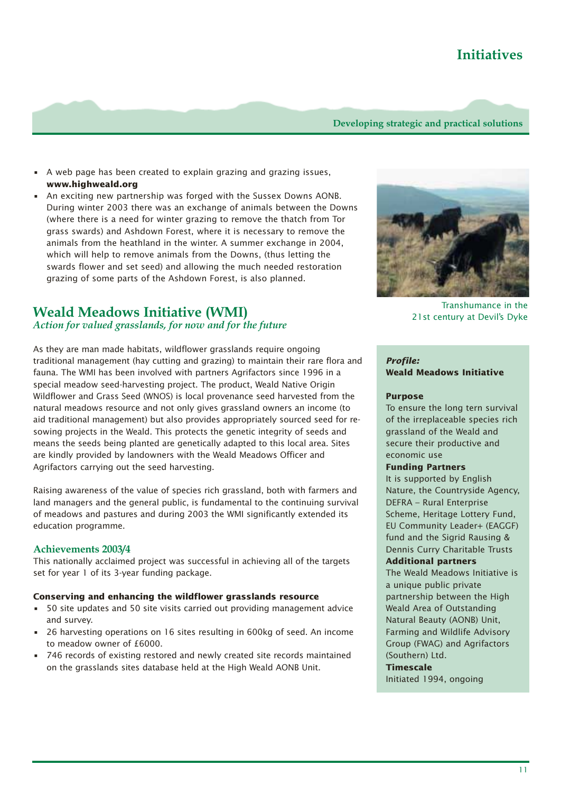- A web page has been created to explain grazing and grazing issues, **www.highweald.org**
- An exciting new partnership was forged with the Sussex Downs AONB. During winter 2003 there was an exchange of animals between the Downs (where there is a need for winter grazing to remove the thatch from Tor grass swards) and Ashdown Forest, where it is necessary to remove the animals from the heathland in the winter. A summer exchange in 2004, which will help to remove animals from the Downs, (thus letting the swards flower and set seed) and allowing the much needed restoration grazing of some parts of the Ashdown Forest, is also planned.

### **Weald Meadows Initiative (WMI)**

#### *Action for valued grasslands, for now and for the future*

As they are man made habitats, wildflower grasslands require ongoing traditional management (hay cutting and grazing) to maintain their rare flora and fauna. The WMI has been involved with partners Agrifactors since 1996 in a special meadow seed-harvesting project. The product, Weald Native Origin Wildflower and Grass Seed (WNOS) is local provenance seed harvested from the natural meadows resource and not only gives grassland owners an income (to aid traditional management) but also provides appropriately sourced seed for resowing projects in the Weald. This protects the genetic integrity of seeds and means the seeds being planted are genetically adapted to this local area. Sites are kindly provided by landowners with the Weald Meadows Officer and Agrifactors carrying out the seed harvesting.

Raising awareness of the value of species rich grassland, both with farmers and land managers and the general public, is fundamental to the continuing survival of meadows and pastures and during 2003 the WMI significantly extended its education programme.

#### **Achievements 2003/4**

This nationally acclaimed project was successful in achieving all of the targets set for year 1 of its 3-year funding package.

#### **Conserving and enhancing the wildflower grasslands resource**

- 50 site updates and 50 site visits carried out providing management advice and survey.
- 26 harvesting operations on 16 sites resulting in 600kg of seed. An income to meadow owner of £6000.
- 746 records of existing restored and newly created site records maintained on the grasslands sites database held at the High Weald AONB Unit.



Transhumance in the 21st century at Devil's Dyke

#### *Profile:* **Weald Meadows Initiative**

#### **Purpose**

To ensure the long tern survival of the irreplaceable species rich grassland of the Weald and secure their productive and economic use

#### **Funding Partners**

It is supported by English Nature, the Countryside Agency, DEFRA – Rural Enterprise Scheme, Heritage Lottery Fund, EU Community Leader+ (EAGGF) fund and the Sigrid Rausing & Dennis Curry Charitable Trusts **Additional partners**

The Weald Meadows Initiative is a unique public private partnership between the High Weald Area of Outstanding Natural Beauty (AONB) Unit, Farming and Wildlife Advisory Group (FWAG) and Agrifactors (Southern) Ltd.

#### **Timescale**

Initiated 1994, ongoing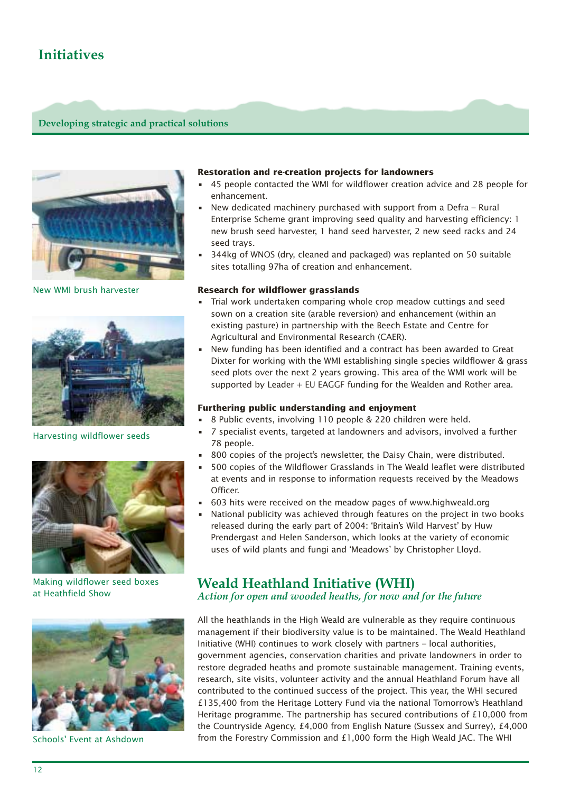### **Initiatives**

#### **Developing strategic and practical solutions**



New WMI brush harvester



Harvesting wildflower seeds



Making wildflower seed boxes at Heathfield Show



Schools' Event at Ashdown

#### **Restoration and re-creation projects for landowners**

- 45 people contacted the WMI for wildflower creation advice and 28 people for enhancement.
- New dedicated machinery purchased with support from a Defra Rural Enterprise Scheme grant improving seed quality and harvesting efficiency: 1 new brush seed harvester, 1 hand seed harvester, 2 new seed racks and 24 seed trays.
- 344kg of WNOS (dry, cleaned and packaged) was replanted on 50 suitable sites totalling 97ha of creation and enhancement.

#### **Research for wildflower grasslands**

- Trial work undertaken comparing whole crop meadow cuttings and seed sown on a creation site (arable reversion) and enhancement (within an existing pasture) in partnership with the Beech Estate and Centre for Agricultural and Environmental Research (CAER).
- New funding has been identified and a contract has been awarded to Great Dixter for working with the WMI establishing single species wildflower & grass seed plots over the next 2 years growing. This area of the WMI work will be supported by Leader + EU EAGGF funding for the Wealden and Rother area.

#### **Furthering public understanding and enjoyment**

- 8 Public events, involving 110 people & 220 children were held.
- 7 specialist events, targeted at landowners and advisors, involved a further 78 people.
- 800 copies of the project's newsletter, the Daisy Chain, were distributed.
- 500 copies of the Wildflower Grasslands in The Weald leaflet were distributed at events and in response to information requests received by the Meadows Officer.
- 603 hits were received on the meadow pages of www.highweald.org
- National publicity was achieved through features on the project in two books released during the early part of 2004: 'Britain's Wild Harvest' by Huw Prendergast and Helen Sanderson, which looks at the variety of economic uses of wild plants and fungi and 'Meadows' by Christopher Lloyd.

## **Weald Heathland Initiative (WHI)**

*Action for open and wooded heaths, for now and for the future*

All the heathlands in the High Weald are vulnerable as they require continuous management if their biodiversity value is to be maintained. The Weald Heathland Initiative (WHI) continues to work closely with partners – local authorities, government agencies, conservation charities and private landowners in order to restore degraded heaths and promote sustainable management. Training events, research, site visits, volunteer activity and the annual Heathland Forum have all contributed to the continued success of the project. This year, the WHI secured £135,400 from the Heritage Lottery Fund via the national Tomorrow's Heathland Heritage programme. The partnership has secured contributions of £10,000 from the Countryside Agency, £4,000 from English Nature (Sussex and Surrey), £4,000 from the Forestry Commission and £1,000 form the High Weald JAC. The WHI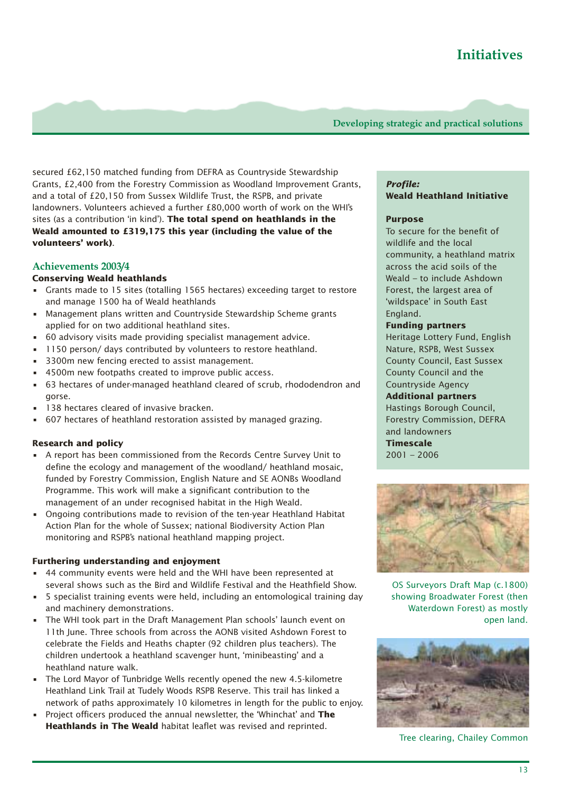secured £62,150 matched funding from DEFRA as Countryside Stewardship Grants, £2,400 from the Forestry Commission as Woodland Improvement Grants, and a total of £20,150 from Sussex Wildlife Trust, the RSPB, and private landowners. Volunteers achieved a further £80,000 worth of work on the WHI's sites (as a contribution 'in kind'). **The total spend on heathlands in the Weald amounted to £319,175 this year (including the value of the volunteers' work)**.

### **Achievements 2003/4**

#### **Conserving Weald heathlands**

- Grants made to 15 sites (totalling 1565 hectares) exceeding target to restore and manage 1500 ha of Weald heathlands
- Management plans written and Countryside Stewardship Scheme grants applied for on two additional heathland sites.
- 60 advisory visits made providing specialist management advice.
- 1150 person/ days contributed by volunteers to restore heathland.
- 3300m new fencing erected to assist management.
- 4500m new footpaths created to improve public access.
- 63 hectares of under-managed heathland cleared of scrub, rhododendron and gorse.
- 138 hectares cleared of invasive bracken.
- 607 hectares of heathland restoration assisted by managed grazing.

#### **Research and policy**

- A report has been commissioned from the Records Centre Survey Unit to define the ecology and management of the woodland/ heathland mosaic, funded by Forestry Commission, English Nature and SE AONBs Woodland Programme. This work will make a significant contribution to the management of an under recognised habitat in the High Weald.
- Ongoing contributions made to revision of the ten-year Heathland Habitat Action Plan for the whole of Sussex; national Biodiversity Action Plan monitoring and RSPB's national heathland mapping project.

#### **Furthering understanding and enjoyment**

- 44 community events were held and the WHI have been represented at several shows such as the Bird and Wildlife Festival and the Heathfield Show.
- 5 specialist training events were held, including an entomological training day and machinery demonstrations.
- The WHI took part in the Draft Management Plan schools' launch event on 11th June. Three schools from across the AONB visited Ashdown Forest to celebrate the Fields and Heaths chapter (92 children plus teachers). The children undertook a heathland scavenger hunt, 'minibeasting' and a heathland nature walk.
- The Lord Mayor of Tunbridge Wells recently opened the new 4.5-kilometre Heathland Link Trail at Tudely Woods RSPB Reserve. This trail has linked a network of paths approximately 10 kilometres in length for the public to enjoy.
- Project officers produced the annual newsletter, the 'Whinchat' and **The Heathlands in The Weald** habitat leaflet was revised and reprinted.

#### *Profile:* **Weald Heathland Initiative**

#### **Purpose**

To secure for the benefit of wildlife and the local community, a heathland matrix across the acid soils of the Weald – to include Ashdown Forest, the largest area of 'wildspace' in South East England.

#### **Funding partners**

Heritage Lottery Fund, English Nature, RSPB, West Sussex County Council, East Sussex County Council and the Countryside Agency

#### **Additional partners**

Hastings Borough Council, Forestry Commission, DEFRA and landowners

**Timescale**  2001 – 2006



OS Surveyors Draft Map (c.1800) showing Broadwater Forest (then Waterdown Forest) as mostly open land.



Tree clearing, Chailey Common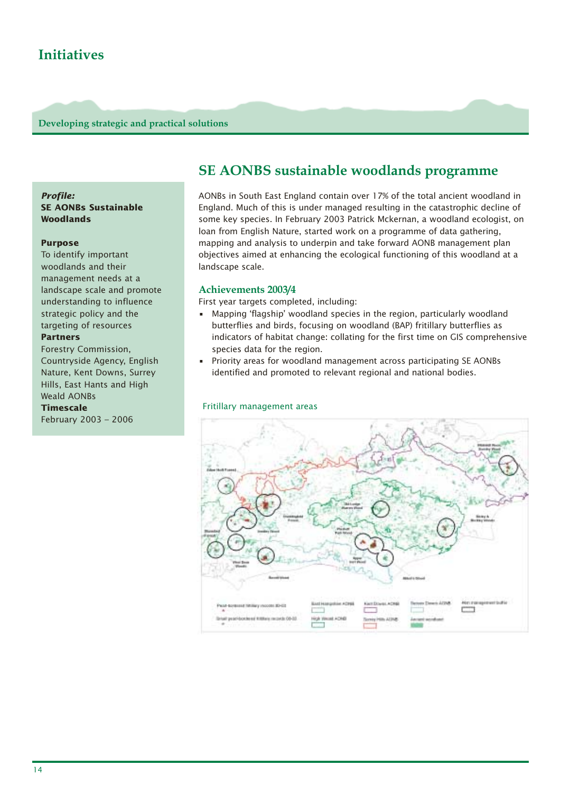#### *Profile:* **SE AONBs Sustainable Woodlands**

#### **Purpose**

To identify important woodlands and their management needs at a landscape scale and promote understanding to influence strategic policy and the targeting of resources

#### **Partners**

Forestry Commission, Countryside Agency, English Nature, Kent Downs, Surrey Hills, East Hants and High Weald AONBs

#### **Timescale**

February 2003 – 2006

### **SE AONBS sustainable woodlands programme**

AONBs in South East England contain over 17% of the total ancient woodland in England. Much of this is under managed resulting in the catastrophic decline of some key species. In February 2003 Patrick Mckernan, a woodland ecologist, on loan from English Nature, started work on a programme of data gathering, mapping and analysis to underpin and take forward AONB management plan objectives aimed at enhancing the ecological functioning of this woodland at a landscape scale.

#### **Achievements 2003/4**

First year targets completed, including:

- Mapping 'flagship' woodland species in the region, particularly woodland butterflies and birds, focusing on woodland (BAP) fritillary butterflies as indicators of habitat change: collating for the first time on GIS comprehensive species data for the region.
- Priority areas for woodland management across participating SE AONBs identified and promoted to relevant regional and national bodies.

#### Fritillary management areas

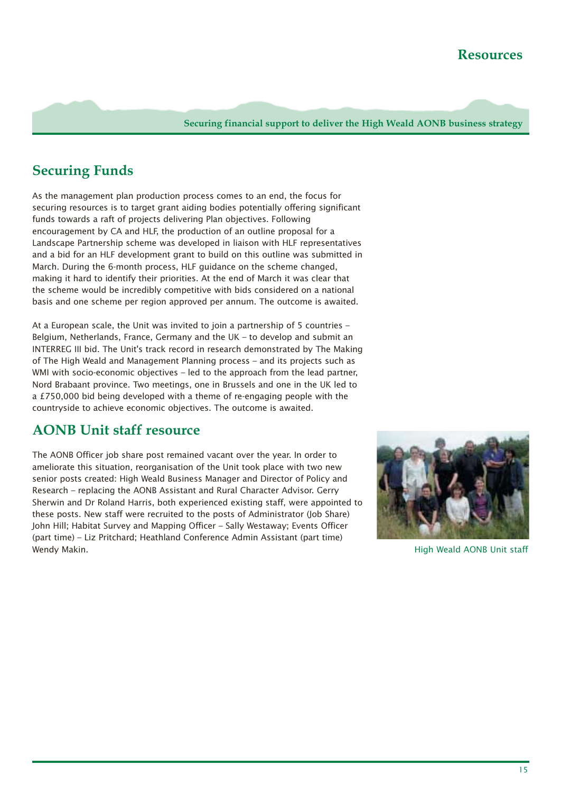**Securing financial support to deliver the High Weald AONB business strategy** 

### **Securing Funds**

As the management plan production process comes to an end, the focus for securing resources is to target grant aiding bodies potentially offering significant funds towards a raft of projects delivering Plan objectives. Following encouragement by CA and HLF, the production of an outline proposal for a Landscape Partnership scheme was developed in liaison with HLF representatives and a bid for an HLF development grant to build on this outline was submitted in March. During the 6-month process, HLF guidance on the scheme changed, making it hard to identify their priorities. At the end of March it was clear that the scheme would be incredibly competitive with bids considered on a national basis and one scheme per region approved per annum. The outcome is awaited.

At a European scale, the Unit was invited to join a partnership of 5 countries – Belgium, Netherlands, France, Germany and the UK – to develop and submit an INTERREG III bid. The Unit's track record in research demonstrated by The Making of The High Weald and Management Planning process – and its projects such as WMI with socio-economic objectives – led to the approach from the lead partner. Nord Brabaant province. Two meetings, one in Brussels and one in the UK led to a £750,000 bid being developed with a theme of re-engaging people with the countryside to achieve economic objectives. The outcome is awaited.

### **AONB Unit staff resource**

The AONB Officer job share post remained vacant over the year. In order to ameliorate this situation, reorganisation of the Unit took place with two new senior posts created: High Weald Business Manager and Director of Policy and Research – replacing the AONB Assistant and Rural Character Advisor. Gerry Sherwin and Dr Roland Harris, both experienced existing staff, were appointed to these posts. New staff were recruited to the posts of Administrator (Job Share) John Hill; Habitat Survey and Mapping Officer – Sally Westaway; Events Officer (part time) – Liz Pritchard; Heathland Conference Admin Assistant (part time) Wendy Makin. High Weald AONB Unit staff

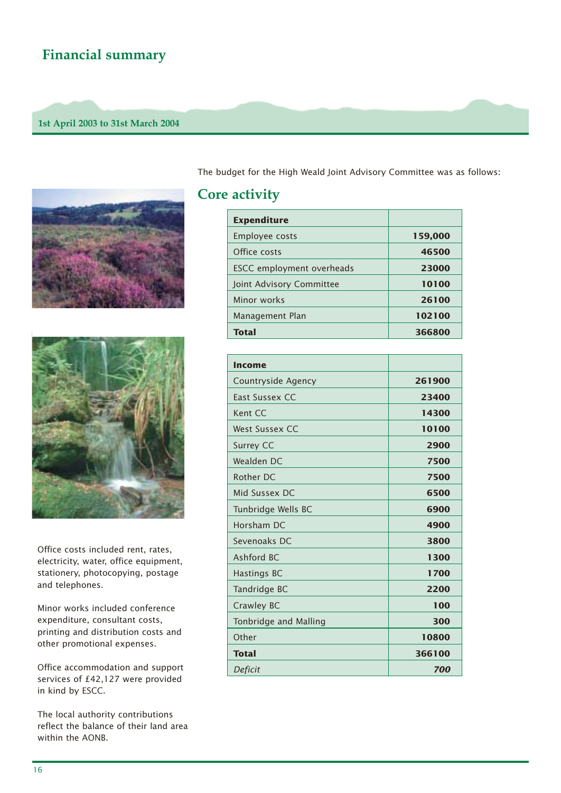### **Financial summary**

#### **1st April 2003 to 31st March 2004**





Office costs included rent, rates, electricity, water, office equipment, stationery, photocopying, postage and telephones.

Minor works included conference expenditure, consultant costs, printing and distribution costs and other promotional expenses.

Office accommodation and support services of £42,127 were provided in kind by ESCC.

The local authority contributions reflect the balance of their land area within the AONB.

The budget for the High Weald Joint Advisory Committee was as follows:

### **Core activity**

| <b>Expenditure</b>        |         |
|---------------------------|---------|
| Employee costs            | 159,000 |
| Office costs              | 46500   |
| ESCC employment overheads | 23000   |
| Joint Advisory Committee  | 10100   |
| Minor works               | 26100   |
| Management Plan           | 102100  |
| <b>Total</b>              | 366800  |

| Income                |        |
|-----------------------|--------|
| Countryside Agency    | 261900 |
| East Sussex CC        | 23400  |
| Kent CC               | 14300  |
| <b>West Sussex CC</b> | 10100  |
| Surrey CC             | 2900   |
| Wealden DC            | 7500   |
| Rother DC             | 7500   |
| Mid Sussex DC         | 6500   |
| Tunbridge Wells BC    | 6900   |
| Horsham DC            | 4900   |
| Sevenoaks DC          | 3800   |
| Ashford BC            | 1300   |
| Hastings BC           | 1700   |
| Tandridge BC          | 2200   |
| Crawley BC            | 100    |
| Tonbridge and Malling | 300    |
| Other                 | 10800  |
| <b>Total</b>          | 366100 |
| Deficit               | 700    |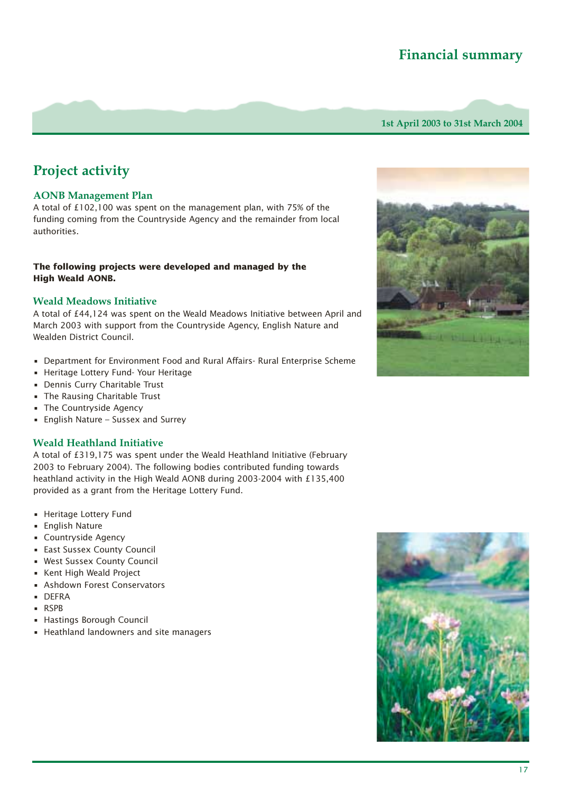### **Financial summary**

**1st April 2003 to 31st March 2004**

### **Project activity**

#### **AONB Management Plan**

A total of £102,100 was spent on the management plan, with 75% of the funding coming from the Countryside Agency and the remainder from local authorities.

#### **The following projects were developed and managed by the High Weald AONB.**

#### **Weald Meadows Initiative**

A total of £44,124 was spent on the Weald Meadows Initiative between April and March 2003 with support from the Countryside Agency, English Nature and Wealden District Council.

- Department for Environment Food and Rural Affairs- Rural Enterprise Scheme
- Heritage Lottery Fund- Your Heritage
- Dennis Curry Charitable Trust
- The Rausing Charitable Trust
- The Countryside Agency
- English Nature Sussex and Surrey

#### **Weald Heathland Initiative**

A total of £319,175 was spent under the Weald Heathland Initiative (February 2003 to February 2004). The following bodies contributed funding towards heathland activity in the High Weald AONB during 2003-2004 with £135,400 provided as a grant from the Heritage Lottery Fund.

- Heritage Lottery Fund
- English Nature
- Countryside Agency
- East Sussex County Council
- West Sussex County Council
- Kent High Weald Project
- Ashdown Forest Conservators
- DEFRA
- RSPB
- Hastings Borough Council
- Heathland landowners and site managers



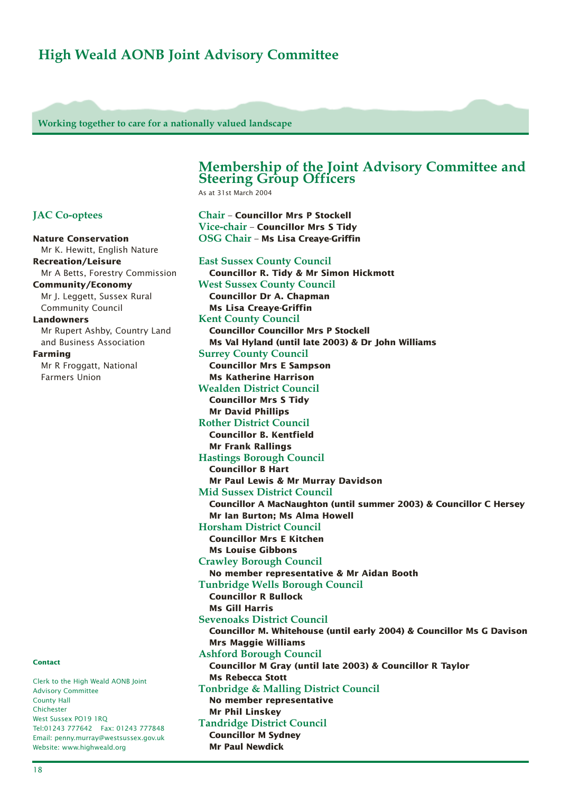### **High Weald AONB Joint Advisory Committee**

**Working together to care for a nationally valued landscape**

#### **Membership of the Joint Advisory Committee and Steering Group Officers**

As at 31st March 2004

### **Chair** – **Councillor Mrs P Stockell Vice-chair** – **Councillor Mrs S Tidy OSG Chair** – **Ms Lisa Creaye-Griffin**

**East Sussex County Council Councillor R. Tidy & Mr Simon Hickmott West Sussex County Council Councillor Dr A. Chapman Ms Lisa Creaye-Griffin Kent County Council Councillor Councillor Mrs P Stockell Ms Val Hyland (until late 2003) & Dr John Williams Surrey County Council Councillor Mrs E Sampson Ms Katherine Harrison Wealden District Council Councillor Mrs S Tidy Mr David Phillips Rother District Council Councillor B. Kentfield Mr Frank Rallings Hastings Borough Council Councillor B Hart Mr Paul Lewis & Mr Murray Davidson Mid Sussex District Council Councillor A MacNaughton (until summer 2003) & Councillor C Hersey Mr Ian Burton; Ms Alma Howell Horsham District Council Councillor Mrs E Kitchen Ms Louise Gibbons Crawley Borough Council No member representative & Mr Aidan Booth Tunbridge Wells Borough Council Councillor R Bullock Ms Gill Harris Sevenoaks District Council Councillor M. Whitehouse (until early 2004) & Councillor Ms G Davison Mrs Maggie Williams Ashford Borough Council Councillor M Gray (until late 2003) & Councillor R Taylor Ms Rebecca Stott Tonbridge & Malling District Council No member representative Mr Phil Linskey Tandridge District Council Councillor M Sydney Mr Paul Newdick**

#### **JAC Co-optees**

Farmers Union

**Nature Conservation** Mr K. Hewitt, English Nature **Recreation/Leisure** Mr A Betts, Forestry Commission **Community/Economy**  Mr J. Leggett, Sussex Rural Community Council **Landowners** Mr Rupert Ashby, Country Land and Business Association **Farming** Mr R Froggatt, National

**Contact** 

Clerk to the High Weald AONB Joint Advisory Committee County Hall Chichester West Sussex PO19 1RQ Tel:01243 777642 Fax: 01243 777848 Email: penny.murray@westsussex.gov.uk Website: www.highweald.org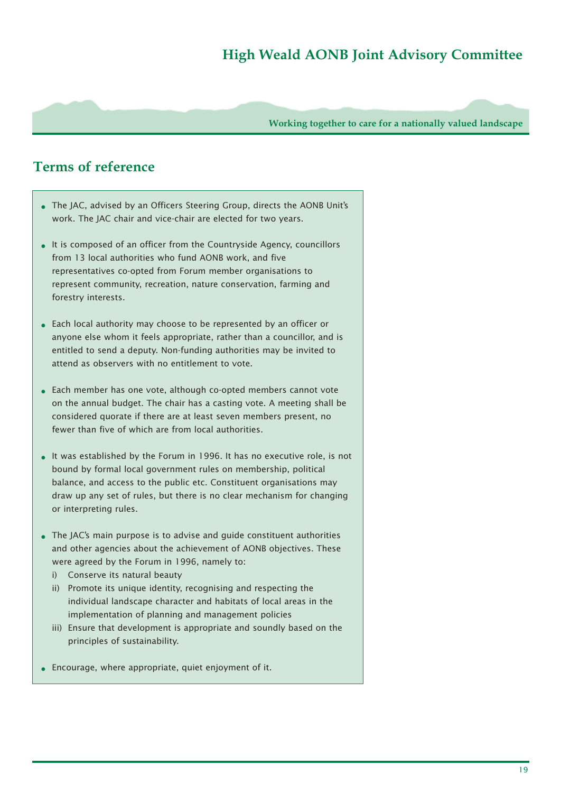### **High Weald AONB Joint Advisory Committee**

**Working together to care for a nationally valued landscape**

### **Terms of reference**

- The JAC, advised by an Officers Steering Group, directs the AONB Unit's work. The JAC chair and vice-chair are elected for two years.
- It is composed of an officer from the Countryside Agency, councillors from 13 local authorities who fund AONB work, and five representatives co-opted from Forum member organisations to represent community, recreation, nature conservation, farming and forestry interests.
- Each local authority may choose to be represented by an officer or anyone else whom it feels appropriate, rather than a councillor, and is entitled to send a deputy. Non-funding authorities may be invited to attend as observers with no entitlement to vote.
- Each member has one vote, although co-opted members cannot vote on the annual budget. The chair has a casting vote. A meeting shall be considered quorate if there are at least seven members present, no fewer than five of which are from local authorities.
- It was established by the Forum in 1996. It has no executive role, is not bound by formal local government rules on membership, political balance, and access to the public etc. Constituent organisations may draw up any set of rules, but there is no clear mechanism for changing or interpreting rules.
- The JAC's main purpose is to advise and quide constituent authorities and other agencies about the achievement of AONB objectives. These were agreed by the Forum in 1996, namely to:
	- i) Conserve its natural beauty
	- ii) Promote its unique identity, recognising and respecting the individual landscape character and habitats of local areas in the implementation of planning and management policies
	- iii) Ensure that development is appropriate and soundly based on the principles of sustainability.
- Encourage, where appropriate, quiet enjoyment of it.